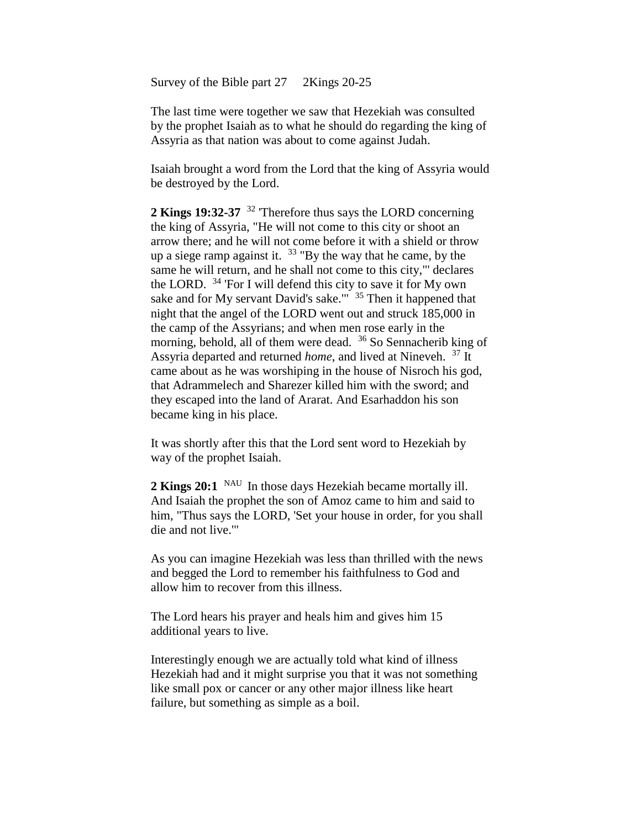Survey of the Bible part 27 2Kings 20-25

The last time were together we saw that Hezekiah was consulted by the prophet Isaiah as to what he should do regarding the king of Assyria as that nation was about to come against Judah.

Isaiah brought a word from the Lord that the king of Assyria would be destroyed by the Lord.

**2 Kings 19:32-37** <sup>32</sup> 'Therefore thus says the LORD concerning the king of Assyria, "He will not come to this city or shoot an arrow there; and he will not come before it with a shield or throw up a siege ramp against it.  $33$  "By the way that he came, by the same he will return, and he shall not come to this city,"' declares the LORD. <sup>34</sup> 'For I will defend this city to save it for My own sake and for My servant David's sake."<sup>35</sup> Then it happened that night that the angel of the LORD went out and struck 185,000 in the camp of the Assyrians; and when men rose early in the morning, behold, all of them were dead. <sup>36</sup> So Sennacherib king of Assyria departed and returned *home*, and lived at Nineveh. <sup>37</sup> It came about as he was worshiping in the house of Nisroch his god, that Adrammelech and Sharezer killed him with the sword; and they escaped into the land of Ararat. And Esarhaddon his son became king in his place.

It was shortly after this that the Lord sent word to Hezekiah by way of the prophet Isaiah.

**2 Kings 20:1** NAU In those days Hezekiah became mortally ill. And Isaiah the prophet the son of Amoz came to him and said to him, "Thus says the LORD, 'Set your house in order, for you shall die and not live.'"

As you can imagine Hezekiah was less than thrilled with the news and begged the Lord to remember his faithfulness to God and allow him to recover from this illness.

The Lord hears his prayer and heals him and gives him 15 additional years to live.

Interestingly enough we are actually told what kind of illness Hezekiah had and it might surprise you that it was not something like small pox or cancer or any other major illness like heart failure, but something as simple as a boil.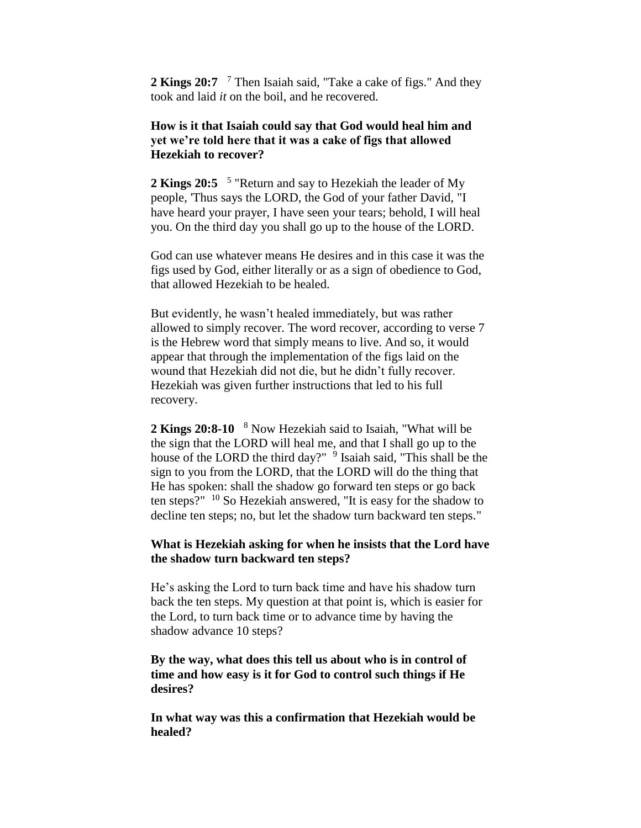**2 Kings 20:7**  <sup>7</sup> Then Isaiah said, "Take a cake of figs." And they took and laid *it* on the boil, and he recovered.

# **How is it that Isaiah could say that God would heal him and yet we're told here that it was a cake of figs that allowed Hezekiah to recover?**

2 **Kings 20:5** <sup>5</sup> "Return and say to Hezekiah the leader of My people, 'Thus says the LORD, the God of your father David, "I have heard your prayer, I have seen your tears; behold, I will heal you. On the third day you shall go up to the house of the LORD.

God can use whatever means He desires and in this case it was the figs used by God, either literally or as a sign of obedience to God, that allowed Hezekiah to be healed.

But evidently, he wasn't healed immediately, but was rather allowed to simply recover. The word recover, according to verse 7 is the Hebrew word that simply means to live. And so, it would appear that through the implementation of the figs laid on the wound that Hezekiah did not die, but he didn't fully recover. Hezekiah was given further instructions that led to his full recovery.

**2 Kings 20:8-10**  <sup>8</sup> Now Hezekiah said to Isaiah, "What will be the sign that the LORD will heal me, and that I shall go up to the house of the LORD the third day?" <sup>9</sup> Isaiah said, "This shall be the sign to you from the LORD, that the LORD will do the thing that He has spoken: shall the shadow go forward ten steps or go back ten steps?"  $10$  So Hezekiah answered, "It is easy for the shadow to decline ten steps; no, but let the shadow turn backward ten steps."

#### **What is Hezekiah asking for when he insists that the Lord have the shadow turn backward ten steps?**

He's asking the Lord to turn back time and have his shadow turn back the ten steps. My question at that point is, which is easier for the Lord, to turn back time or to advance time by having the shadow advance 10 steps?

### **By the way, what does this tell us about who is in control of time and how easy is it for God to control such things if He desires?**

**In what way was this a confirmation that Hezekiah would be healed?**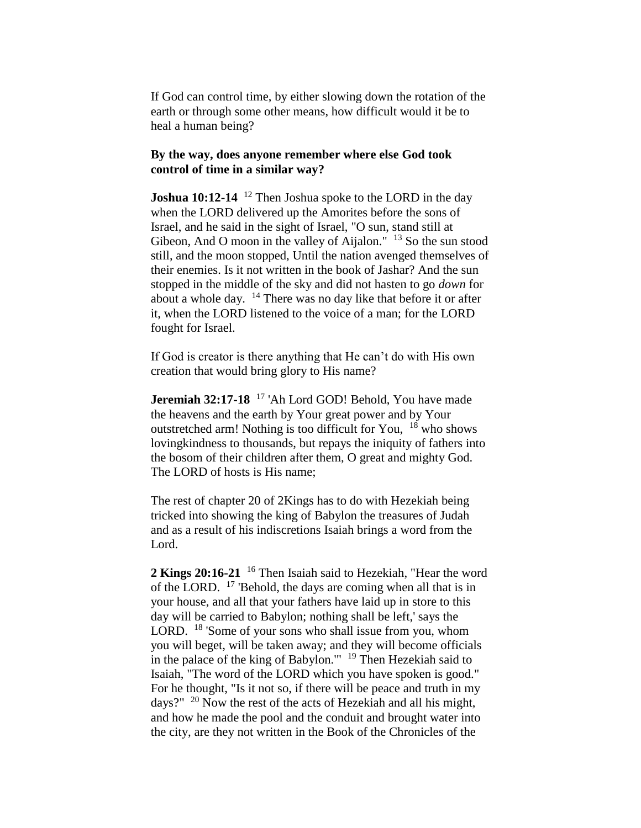If God can control time, by either slowing down the rotation of the earth or through some other means, how difficult would it be to heal a human being?

#### **By the way, does anyone remember where else God took control of time in a similar way?**

**Joshua 10:12-14** <sup>12</sup> Then Joshua spoke to the LORD in the day when the LORD delivered up the Amorites before the sons of Israel, and he said in the sight of Israel, "O sun, stand still at Gibeon, And O moon in the valley of Aijalon."  $13$  So the sun stood still, and the moon stopped, Until the nation avenged themselves of their enemies. Is it not written in the book of Jashar? And the sun stopped in the middle of the sky and did not hasten to go *down* for about a whole day.  $14$  There was no day like that before it or after it, when the LORD listened to the voice of a man; for the LORD fought for Israel.

If God is creator is there anything that He can't do with His own creation that would bring glory to His name?

**Jeremiah 32:17-18** <sup>17</sup> 'Ah Lord GOD! Behold, You have made the heavens and the earth by Your great power and by Your outstretched arm! Nothing is too difficult for You, <sup>18</sup> who shows lovingkindness to thousands, but repays the iniquity of fathers into the bosom of their children after them, O great and mighty God. The LORD of hosts is His name;

The rest of chapter 20 of 2Kings has to do with Hezekiah being tricked into showing the king of Babylon the treasures of Judah and as a result of his indiscretions Isaiah brings a word from the Lord.

**2 Kings 20:16-21** <sup>16</sup> Then Isaiah said to Hezekiah, "Hear the word of the LORD. <sup>17</sup> 'Behold, the days are coming when all that is in your house, and all that your fathers have laid up in store to this day will be carried to Babylon; nothing shall be left,' says the LORD. <sup>18</sup> 'Some of your sons who shall issue from you, whom you will beget, will be taken away; and they will become officials in the palace of the king of Babylon.'"  $19$  Then Hezekiah said to Isaiah, "The word of the LORD which you have spoken is good." For he thought, "Is it not so, if there will be peace and truth in my days?"  $20$  Now the rest of the acts of Hezekiah and all his might, and how he made the pool and the conduit and brought water into the city, are they not written in the Book of the Chronicles of the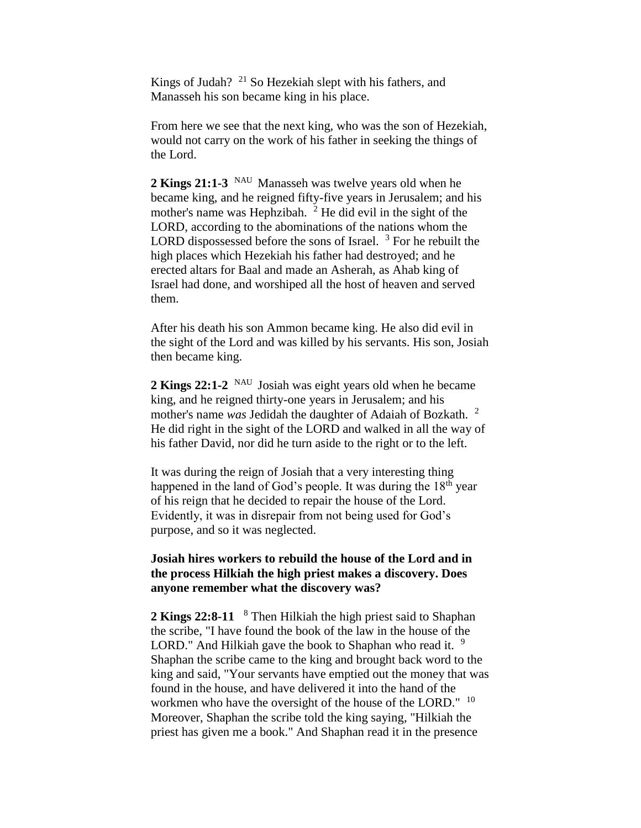Kings of Judah?  $^{21}$  So Hezekiah slept with his fathers, and Manasseh his son became king in his place.

From here we see that the next king, who was the son of Hezekiah, would not carry on the work of his father in seeking the things of the Lord.

**2 Kings 21:1-3** NAU Manasseh was twelve years old when he became king, and he reigned fifty-five years in Jerusalem; and his mother's name was Hephzibah.  $2$  He did evil in the sight of the LORD, according to the abominations of the nations whom the LORD dispossessed before the sons of Israel.  $3$  For he rebuilt the high places which Hezekiah his father had destroyed; and he erected altars for Baal and made an Asherah, as Ahab king of Israel had done, and worshiped all the host of heaven and served them.

After his death his son Ammon became king. He also did evil in the sight of the Lord and was killed by his servants. His son, Josiah then became king.

2 **Kings 22:1-2** <sup>NAU</sup> Josiah was eight years old when he became king, and he reigned thirty-one years in Jerusalem; and his mother's name *was* Jedidah the daughter of Adaiah of Bozkath.<sup>2</sup> He did right in the sight of the LORD and walked in all the way of his father David, nor did he turn aside to the right or to the left.

It was during the reign of Josiah that a very interesting thing happened in the land of God's people. It was during the  $18<sup>th</sup>$  year of his reign that he decided to repair the house of the Lord. Evidently, it was in disrepair from not being used for God's purpose, and so it was neglected.

# **Josiah hires workers to rebuild the house of the Lord and in the process Hilkiah the high priest makes a discovery. Does anyone remember what the discovery was?**

**2 Kings 22:8-11**  <sup>8</sup> Then Hilkiah the high priest said to Shaphan the scribe, "I have found the book of the law in the house of the LORD." And Hilkiah gave the book to Shaphan who read it.  $9$ Shaphan the scribe came to the king and brought back word to the king and said, "Your servants have emptied out the money that was found in the house, and have delivered it into the hand of the workmen who have the oversight of the house of the LORD." <sup>10</sup> Moreover, Shaphan the scribe told the king saying, "Hilkiah the priest has given me a book." And Shaphan read it in the presence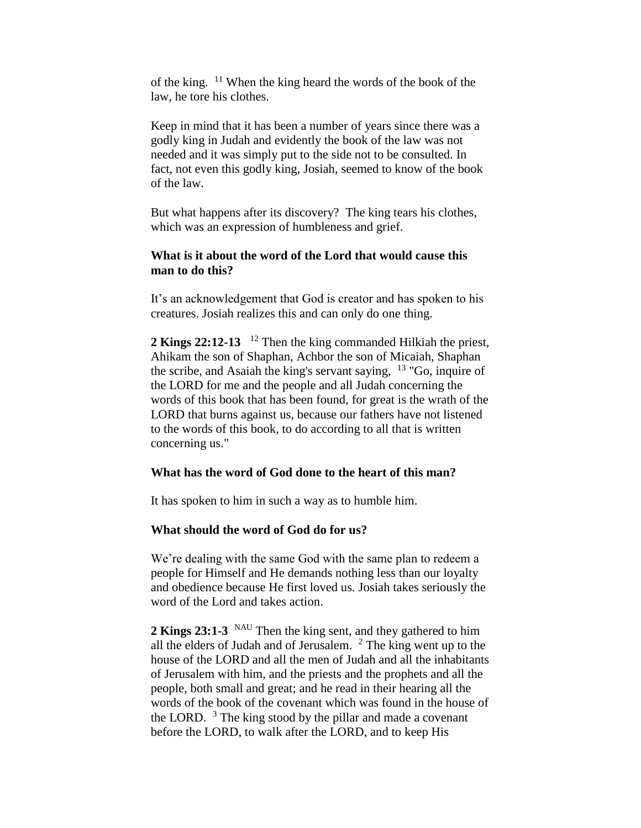of the king. <sup>11</sup> When the king heard the words of the book of the law, he tore his clothes.

Keep in mind that it has been a number of years since there was a godly king in Judah and evidently the book of the law was not needed and it was simply put to the side not to be consulted. In fact, not even this godly king, Josiah, seemed to know of the book of the law.

But what happens after its discovery? The king tears his clothes, which was an expression of humbleness and grief.

#### **What is it about the word of the Lord that would cause this man to do this?**

It's an acknowledgement that God is creator and has spoken to his creatures. Josiah realizes this and can only do one thing.

2 **Kings 22:12-13** <sup>12</sup> Then the king commanded Hilkiah the priest, Ahikam the son of Shaphan, Achbor the son of Micaiah, Shaphan the scribe, and Asaiah the king's servant saying, <sup>13</sup> "Go, inquire of the LORD for me and the people and all Judah concerning the words of this book that has been found, for great is the wrath of the LORD that burns against us, because our fathers have not listened to the words of this book, to do according to all that is written concerning us."

#### **What has the word of God done to the heart of this man?**

It has spoken to him in such a way as to humble him.

# **What should the word of God do for us?**

We're dealing with the same God with the same plan to redeem a people for Himself and He demands nothing less than our loyalty and obedience because He first loved us. Josiah takes seriously the word of the Lord and takes action.

2 **Kings 23:1-3** <sup>NAU</sup> Then the king sent, and they gathered to him all the elders of Judah and of Jerusalem.  $2$  The king went up to the house of the LORD and all the men of Judah and all the inhabitants of Jerusalem with him, and the priests and the prophets and all the people, both small and great; and he read in their hearing all the words of the book of the covenant which was found in the house of the LORD.  $3$  The king stood by the pillar and made a covenant before the LORD, to walk after the LORD, and to keep His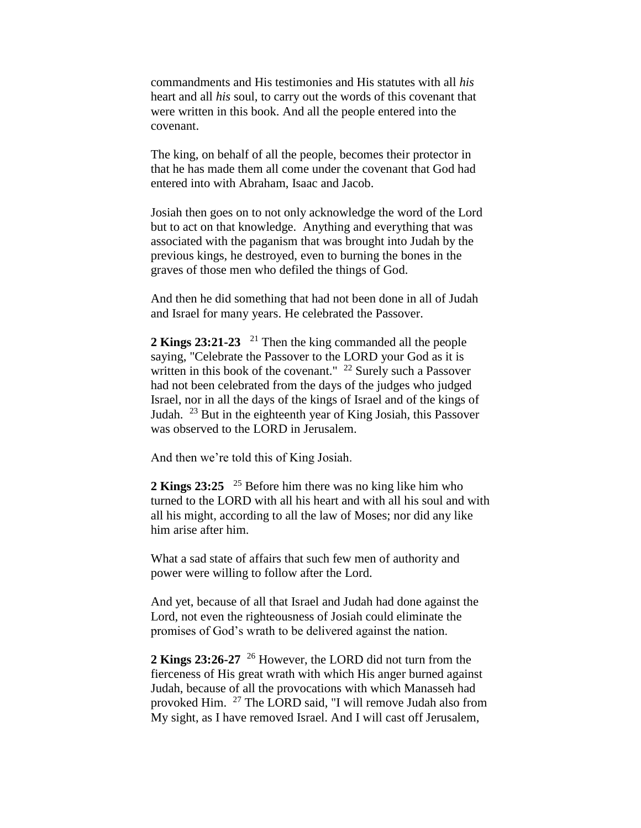commandments and His testimonies and His statutes with all *his*  heart and all *his* soul, to carry out the words of this covenant that were written in this book. And all the people entered into the covenant.

The king, on behalf of all the people, becomes their protector in that he has made them all come under the covenant that God had entered into with Abraham, Isaac and Jacob.

Josiah then goes on to not only acknowledge the word of the Lord but to act on that knowledge. Anything and everything that was associated with the paganism that was brought into Judah by the previous kings, he destroyed, even to burning the bones in the graves of those men who defiled the things of God.

And then he did something that had not been done in all of Judah and Israel for many years. He celebrated the Passover.

2 **Kings 23:21-23** <sup>21</sup> Then the king commanded all the people saying, "Celebrate the Passover to the LORD your God as it is written in this book of the covenant."  $^{22}$  Surely such a Passover had not been celebrated from the days of the judges who judged Israel, nor in all the days of the kings of Israel and of the kings of Judah. <sup>23</sup> But in the eighteenth year of King Josiah, this Passover was observed to the LORD in Jerusalem.

And then we're told this of King Josiah.

**2 Kings 23:25**  <sup>25</sup> Before him there was no king like him who turned to the LORD with all his heart and with all his soul and with all his might, according to all the law of Moses; nor did any like him arise after him.

What a sad state of affairs that such few men of authority and power were willing to follow after the Lord.

And yet, because of all that Israel and Judah had done against the Lord, not even the righteousness of Josiah could eliminate the promises of God's wrath to be delivered against the nation.

**2 Kings 23:26-27** <sup>26</sup> However, the LORD did not turn from the fierceness of His great wrath with which His anger burned against Judah, because of all the provocations with which Manasseh had provoked Him. <sup>27</sup> The LORD said, "I will remove Judah also from My sight, as I have removed Israel. And I will cast off Jerusalem,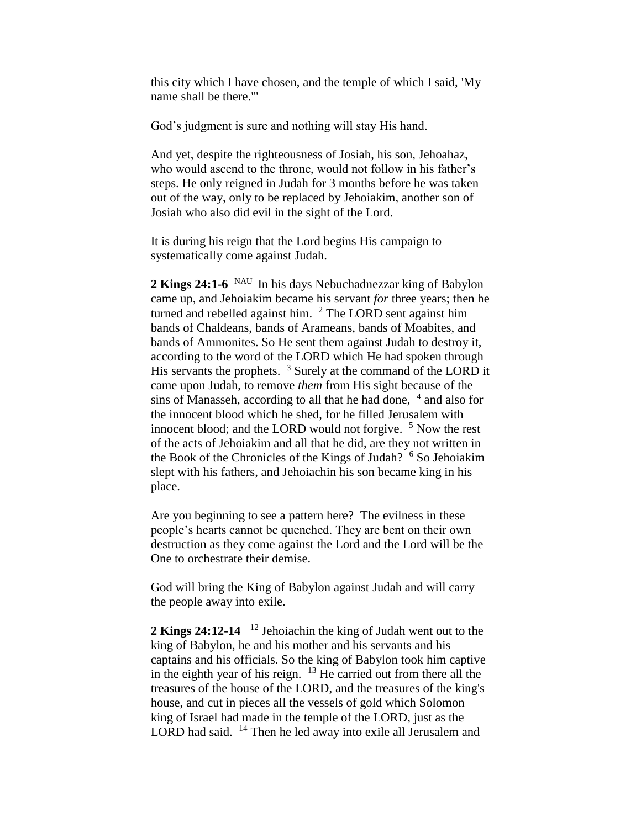this city which I have chosen, and the temple of which I said, 'My name shall be there.'"

God's judgment is sure and nothing will stay His hand.

And yet, despite the righteousness of Josiah, his son, Jehoahaz, who would ascend to the throne, would not follow in his father's steps. He only reigned in Judah for 3 months before he was taken out of the way, only to be replaced by Jehoiakim, another son of Josiah who also did evil in the sight of the Lord.

It is during his reign that the Lord begins His campaign to systematically come against Judah.

2 **Kings 24:1-6** <sup>NAU</sup> In his days Nebuchadnezzar king of Babylon came up, and Jehoiakim became his servant *for* three years; then he turned and rebelled against him.  $2$  The LORD sent against him bands of Chaldeans, bands of Arameans, bands of Moabites, and bands of Ammonites. So He sent them against Judah to destroy it, according to the word of the LORD which He had spoken through His servants the prophets.  $3$  Surely at the command of the LORD it came upon Judah, to remove *them* from His sight because of the sins of Manasseh, according to all that he had done,  $4$  and also for the innocent blood which he shed, for he filled Jerusalem with innocent blood; and the LORD would not forgive.  $5$  Now the rest of the acts of Jehoiakim and all that he did, are they not written in the Book of the Chronicles of the Kings of Judah?  $6$  So Jehoiakim slept with his fathers, and Jehoiachin his son became king in his place.

Are you beginning to see a pattern here? The evilness in these people's hearts cannot be quenched. They are bent on their own destruction as they come against the Lord and the Lord will be the One to orchestrate their demise.

God will bring the King of Babylon against Judah and will carry the people away into exile.

2 **Kings 24:12-14** <sup>12</sup> Jehoiachin the king of Judah went out to the king of Babylon, he and his mother and his servants and his captains and his officials. So the king of Babylon took him captive in the eighth year of his reign.  $13$  He carried out from there all the treasures of the house of the LORD, and the treasures of the king's house, and cut in pieces all the vessels of gold which Solomon king of Israel had made in the temple of the LORD, just as the LORD had said. <sup>14</sup> Then he led away into exile all Jerusalem and